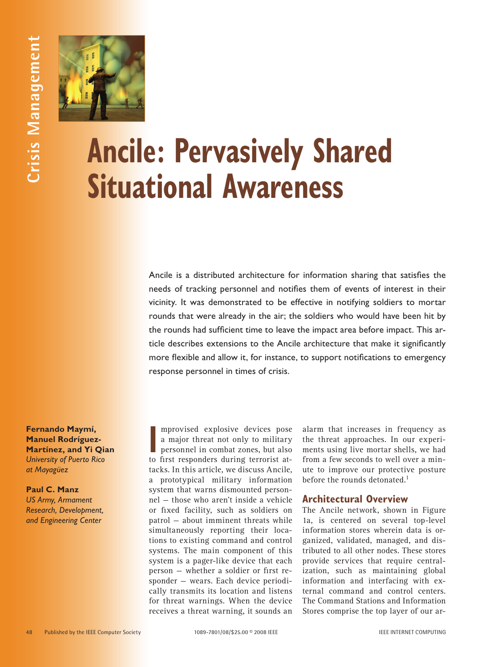

# **Ancile: Pervasively Shared Situational Awareness**

Ancile is a distributed architecture for information sharing that satisfies the needs of tracking personnel and notifies them of events of interest in their vicinity. It was demonstrated to be effective in notifying soldiers to mortar rounds that were already in the air; the soldiers who would have been hit by the rounds had sufficient time to leave the impact area before impact. This article describes extensions to the Ancile architecture that make it significantly more flexible and allow it, for instance, to support notifications to emergency response personnel in times of crisis.

**Fernando Maymí, Manuel Rodríguez-Martínez, and Yi Qian** *University of Puerto Rico at Mayagüez*

**Paul C. Manz** *US Army, Armament Research, Development, and Engineering Center*

mprovised explosive devices pose<br>a major threat not only to military<br>personnel in combat zones, but also<br>to first responders during terrorist atmprovised explosive devices pose a major threat not only to military personnel in combat zones, but also tacks. In this article, we discuss Ancile, a prototypical military information system that warns dismounted personnel — those who aren't inside a vehicle or fixed facility, such as soldiers on patrol — about imminent threats while simultaneously reporting their locations to existing command and control systems. The main component of this system is a pager-like device that each person — whether a soldier or first responder — wears. Each device periodically transmits its location and listens for threat warnings. When the device receives a threat warning, it sounds an

alarm that increases in frequency as the threat approaches. In our experiments using live mortar shells, we had from a few seconds to well over a minute to improve our protective posture before the rounds detonated.<sup>1</sup>

## **Architectural Overview**

The Ancile network, shown in Figure 1a, is centered on several top-level information stores wherein data is organized, validated, managed, and distributed to all other nodes. These stores provide services that require centralization, such as maintaining global information and interfacing with external command and control centers. The Command Stations and Information Stores comprise the top layer of our ar-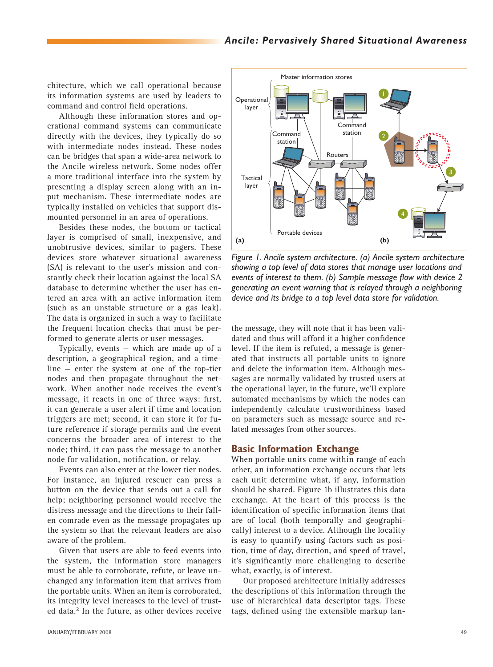chitecture, which we call operational because its information systems are used by leaders to command and control field operations.

Although these information stores and operational command systems can communicate directly with the devices, they typically do so with intermediate nodes instead. These nodes can be bridges that span a wide-area network to the Ancile wireless network. Some nodes offer a more traditional interface into the system by presenting a display screen along with an input mechanism. These intermediate nodes are typically installed on vehicles that support dismounted personnel in an area of operations.

Besides these nodes, the bottom or tactical layer is comprised of small, inexpensive, and unobtrusive devices, similar to pagers. These devices store whatever situational awareness (SA) is relevant to the user's mission and constantly check their location against the local SA database to determine whether the user has entered an area with an active information item (such as an unstable structure or a gas leak). The data is organized in such a way to facilitate the frequent location checks that must be performed to generate alerts or user messages.

Typically, events — which are made up of a description, a geographical region, and a timeline — enter the system at one of the top-tier nodes and then propagate throughout the network. When another node receives the event's message, it reacts in one of three ways: first, it can generate a user alert if time and location triggers are met; second, it can store it for future reference if storage permits and the event concerns the broader area of interest to the node; third, it can pass the message to another node for validation, notification, or relay.

Events can also enter at the lower tier nodes. For instance, an injured rescuer can press a button on the device that sends out a call for help; neighboring personnel would receive the distress message and the directions to their fallen comrade even as the message propagates up the system so that the relevant leaders are also aware of the problem.

Given that users are able to feed events into the system, the information store managers must be able to corroborate, refute, or leave unchanged any information item that arrives from the portable units. When an item is corroborated, its integrity level increases to the level of trusted data.<sup>2</sup> In the future, as other devices receive



*Figure 1. Ancile system architecture. (a) Ancile system architecture showing a top level of data stores that manage user locations and events of interest to them. (b) Sample message flow with device 2 generating an event warning that is relayed through a neighboring device and its bridge to a top level data store for validation.*

the message, they will note that it has been validated and thus will afford it a higher confidence level. If the item is refuted, a message is generated that instructs all portable units to ignore and delete the information item. Although messages are normally validated by trusted users at the operational layer, in the future, we'll explore automated mechanisms by which the nodes can independently calculate trustworthiness based on parameters such as message source and related messages from other sources.

### **Basic Information Exchange**

When portable units come within range of each other, an information exchange occurs that lets each unit determine what, if any, information should be shared. Figure 1b illustrates this data exchange. At the heart of this process is the identification of specific information items that are of local (both temporally and geographically) interest to a device. Although the locality is easy to quantify using factors such as position, time of day, direction, and speed of travel, it's significantly more challenging to describe what, exactly, is of interest.

Our proposed architecture initially addresses the descriptions of this information through the use of hierarchical data descriptor tags. These tags, defined using the extensible markup lan